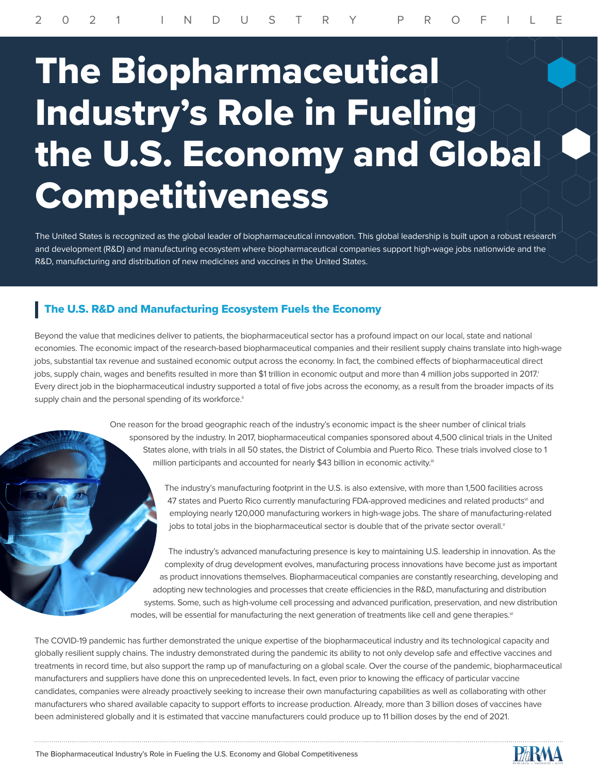## The Biopharmaceutical Industry's Role in Fueling the U.S. Economy and Global Competitiveness

The United States is recognized as the global leader of biopharmaceutical innovation. This global leadership is built upon a robust research and development (R&D) and manufacturing ecosystem where biopharmaceutical companies support high-wage jobs nationwide and the R&D, manufacturing and distribution of new medicines and vaccines in the United States.

## The U.S. R&D and Manufacturing Ecosystem Fuels the Economy

Beyond the value that medicines deliver to patients, the biopharmaceutical sector has a profound impact on our local, state and national economies. The economic impact of the research-based biopharmaceutical companies and their resilient supply chains translate into high-wage jobs, substantial tax revenue and sustained economic output across the economy. In fact, the combined effects of biopharmaceutical direct jobs, supply chain, wages and benefits resulted in more than \$1 trillion in economic output and more than 4 million jobs supported in 2017. Every direct job in the biopharmaceutical industry supported a total of five jobs across the economy, as a result from the broader impacts of its supply chain and the personal spending of its workforce.<sup>ii</sup>

> One reason for the broad geographic reach of the industry's economic impact is the sheer number of clinical trials sponsored by the industry. In 2017, biopharmaceutical companies sponsored about 4,500 clinical trials in the United States alone, with trials in all 50 states, the District of Columbia and Puerto Rico. These trials involved close to 1 million participants and accounted for nearly \$43 billion in economic activity.<sup>iii</sup>

> > The industry's manufacturing footprint in the U.S. is also extensive, with more than 1,500 facilities across 47 states and Puerto Rico currently manufacturing FDA-approved medicines and related products<sup>vi</sup> and employing nearly 120,000 manufacturing workers in high-wage jobs. The share of manufacturing-related jobs to total jobs in the biopharmaceutical sector is double that of the private sector overall.<sup>v</sup>

The industry's advanced manufacturing presence is key to maintaining U.S. leadership in innovation. As the complexity of drug development evolves, manufacturing process innovations have become just as important as product innovations themselves. Biopharmaceutical companies are constantly researching, developing and adopting new technologies and processes that create efficiencies in the R&D, manufacturing and distribution systems. Some, such as high-volume cell processing and advanced purification, preservation, and new distribution modes, will be essential for manufacturing the next generation of treatments like cell and gene therapies.<sup>vi</sup>

The COVID-19 pandemic has further demonstrated the unique expertise of the biopharmaceutical industry and its technological capacity and globally resilient supply chains. The industry demonstrated during the pandemic its ability to not only develop safe and effective vaccines and treatments in record time, but also support the ramp up of manufacturing on a global scale. Over the course of the pandemic, biopharmaceutical manufacturers and suppliers have done this on unprecedented levels. In fact, even prior to knowing the efficacy of particular vaccine candidates, companies were already proactively seeking to increase their own manufacturing capabilities as well as collaborating with other manufacturers who shared available capacity to support efforts to increase production. Already, more than 3 billion doses of vaccines have been administered globally and it is estimated that vaccine manufacturers could produce up to 11 billion doses by the end of 2021.